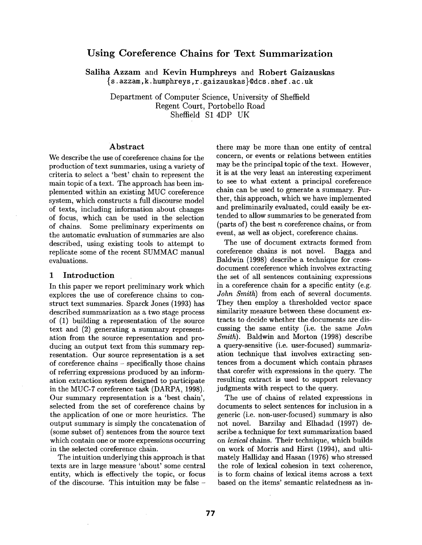# **Using Coreference Chains for Text Summarization**

Saliha Azzam and Kevin Humphreys and Robert Gaizauskas {s. azzam, k. humphreys, r. gaizauskas }@dcs. shef. ac. uk

Department of Computer Science, University of Sheffield Regent Court, Portobello Road Sheffield S1 4DP UK

#### Abstract

We describe the use of coreference chains for the production of text summaries, using a variety of criteria to select a 'best' chain to represent the main topic of a text. The approach has been implemented within an existing MUC coreference system, which constructs a full discourse model of texts, including information about changes of focus, which can be used in the selection of chains. Some preliminary experiments on the automatic evaluation of summaries are also described, using existing tools to attempt to replicate some of the recent SUMMAC manual evaluations.

#### 1 Introduction

In this paper we report preliminary work which explores the use of coreference chains to construct text summaries. Sparck Jones (1993) has described summarization as a two stage process of (1) building a representation of the source text and (2) generating a summary representation from the source representation and producing an output text from this summary representation. Our source representation is a set of coreference chains - specifically those chains of referring expressions produced by an information extraction system designed to participate in the MUC-7 coreference task (DARPA, 1998). Our summary representation is a 'best chain', selected from the set of coreference chains by the application of one or more heuristics. The output summary is simply the concatenation of (some subset of) sentences from the source text which contain one or more expressions occurring in the selected coreference chain.

The intuition underlying this approach is that texts are in large measure 'about' some central entity, which is effectively the topic, or focus of the discourse. This intuition may be false - there may be more than one entity of central concern, or events or relations between entities may be the principal topic of the text. However, it is at the very least an interesting experiment to see to what extent a principal coreference chain can be used to generate a summary. Further, this approach, which we have implemented and preliminarily evaluated, could easily be extended to allow summaries to be generated from (parts of) the best  $n$  coreference chains, or from event, as well as object, coreference chains.

The use of document extracts formed from coreference chains is not novel. Bagga and Baldwin (1998) describe a technique for crossdocument coreference which involves extracting the set of all sentences containing expressions in a coreference chain for a specific entity (e.g. *John Smith)* from each of several documents. They then employ a thresholded vector space similarity measure between these document extracts to decide whether the documents are discussing the same entity (i.e. the same *John Smith).* Baldwin and Morton (1998) describe a query-sensitive (i.e. user-focused) summarization technique that involves extracting sentences from a document which contain phrases that corefer with expressions in the query. The resulting extract is used to support relevancy judgments with respect to the query.

The use of chains of related expressions in documents to select sentences for inclusion in a generic (i.e. non-user-focused) summary is also not novel. Barzilay and Elhadad (1997) describe a technique for text summarization based on *lexical* chains. Their technique, which builds on work of Morris and Hirst (1994), and ultimately Halliday and Hasan (1976) who stressed the role of lexical cohesion in text coherence, is to form chains of lexical items across a text based on the items' semantic relatedness as in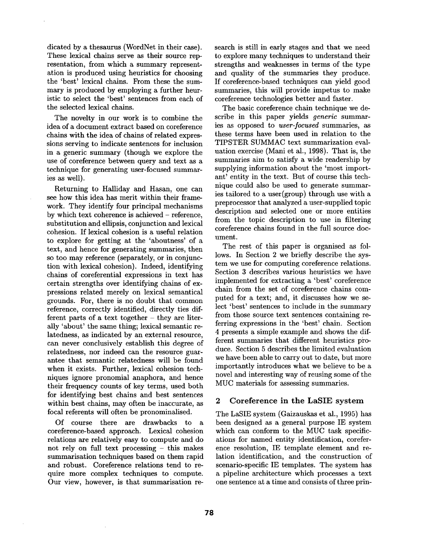dicated by a thesaurus (WordNet in their case). These lexical chains serve as their source representation, from which a summary representation is produced using heuristics for choosing the 'best' lexical chains. From these the summary is produced by employing a further heuristic to select the 'best' sentences from each of the selected lexical chains.

The novelty in our work is to combine the idea of a document extract based on coreference chains with the idea of chains of related expressions serving to indicate sentences for inclusion in a generic summary (though we explore the use of coreference between query and text as a technique for generating user-focused summaries as well).

Returning to Halliday and Hasan, one can see how this idea has merit within their framework. They identify four principal mechanisms by which text coherence is achieved – reference, substitution and ellipsis, conjunction and lexical cohesion. If lexical cohesion is a useful relation to explore for getting at the 'aboutness' of a text, and hence for generating summaries, then so too may reference (separately, or in conjunction with lexical cohesion). Indeed, identifying chains of coreferential expressions in text has certain strengths over identifying chains of expressions related merely on lexical semantical grounds. For, there is no doubt that common reference, correctly identified, directly ties different parts of a text together  $-$  they are literally 'about' the same thing; lexical semantic relatedness, as indicated by an external resource, can never conclusively establish this degree of relatedness, nor indeed can the resource guarantee that semantic relatedness will be found when it exists. Further, lexical cohesion techniques ignore pronomial anaphora, and hence their frequency counts of key terms, used both for identifying best chains and best sentences within best chains, may often be inaccurate, as focal referents will often be pronominalised.

Of course there are drawbacks to a coreference-based approach. Lexical cohesion relations are relatively easy to compute and do not rely on full text processing - this makes summarisation techniques based on them rapid and robust. Coreference relations tend to require more complex techniques to compute. Our view, however, is that summarisation re-

search is still in early stages and that we need to explore many techniques to understand their strengths and weaknesses in terms of the type and quality of the summaries they produce. If coreference-based techniques can yield good summaries, this will provide impetus to make coreference technologies better and faster.

The basic coreference chain technique we describe in this paper yields *generic* summaries as opposed to *user-focused* summaries, as these terms have been used in relation to the TIPSTER SUMMAC text summarization evaluation exercise (Mani et al., 1998). That is, the summaries aim to satisfy a wide readership by supplying information about the 'most important' entity in the text. But of course this technique could also be used to generate summaries tailored to a user(group) through use with a preprocessor that analyzed a user-supplied topic description and selected one or more entities from the topic description to use in filtering coreference chains found in the full source document.

The rest of this paper is organised as follows. In Section 2 we briefly describe the system we use for computing coreference relations. Section 3 describes various heuristics we have implemented for extracting a 'best' coreference chain from the set of coreference chains computed for a text; and, it discusses how we select 'best' sentences to include in the summary from those source text sentences containing referring expressions in the 'best' chain. Section 4 presents a simple example and shows the different summaries that different heuristics produce. Section 5 describes the limited evaluation we have been able to carry out to date, but more importantly introduces what we believe to be a novel and interesting way of reusing some of the MUC materials for assessing summaries.

# 2 Coreference in the LaSIE system

The LaSIE system (Gaizauskas et al., 1995) has been designed as a general purpose IE system which can conform to the MUC task specifications for named entity identification, coreference resolution, IE template element and relation identification, and the construction of scenario-specific IE templates. The system has a pipeline architecture which processes a text one sentence at a time and consists of three prin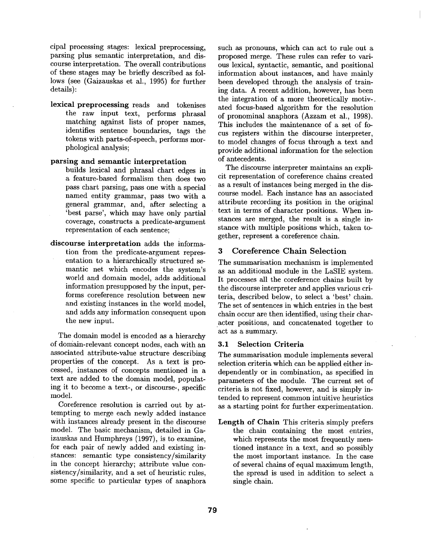cipal processing stages: lexical preprocessing, parsing plus semantic interpretation, and discourse interpretation. The overall contributions of these stages may be briefly described as follows (see (Gaizauskas et al., 1995) for further details):

lexical preprocessing reads and tokenises the raw input text, performs phrasal matching against lists of proper names, identifies sentence boundaries, tags the tokens with parts-of-speech, performs morphological analysis;

#### parsing and semantic interpretation

- builds lexical and phrasal chart edges in a feature-based formalism then does two pass chart parsing, pass one with a special named entity grammar, pass two with a general grammar, and, after selecting a 'best parse', which may have only partial coverage, constructs a predicate-argument representation of each sentence;
- discourse interpretation adds the information from the predicate-argument representation to a hierarchically structured semantic net which encodes the system's world and domain model, adds additional information presupposed by the input, performs coreference resolution between new and existing instances in the world model, and adds any information consequent upon the new input.

The domain model is encoded as a hierarchy of domain-relevant concept nodes, each with an associated attribute-value structure describing properties of the concept. As a text is processed, instances of concepts mentioned in a text are added to the domain model, populating it to become a text-, or discourse-, specific model.

Coreference resolution is carried out by attempting to merge each newly added instance with instances already present in the discourse model. The basic mechanism, detailed in Gaizauskas and Humphreys (1997), is to examine, for each pair of newly added and existing instances: semantic type consistency/similarity in the concept hierarchy; attribute value consistency/similarity, and a set of heuristic rules, some specific to particular types of anaphora such as pronouns, which can act to rule out a proposed merge. These rules can refer to various lexical, syntactic, semantic, and positional information about instances, and have mainly been developed through the analysis of training data. A recent addition, however, has been the integration of a more theoretically motiv-. ated focus-based algorithm for the resolution of pronominal anaphora (Azzam et al., 1998). This includes the maintenance of a set of focus registers within the discourse interpreter, to model changes of focus through a text and provide additional information for the selection of antecedents.

The discourse interpreter maintains an explicit representation of coreference chains created as a result of instances being merged in the discourse model. Each instance has an associated attribute recording its position in the original text in terms of character positions. When instances are merged, the result is a single instance with multiple positions which, taken together, represent a coreference chain.

# 3 Coreference Chain Selection

The summarisation mechanism is implemented as an additional module in the LaSIE system. It processes all the coreference chains built by the discourse interpreter and applies various criteria, described below, to select a 'best' chain. The set of sentences in which entries in the best chain occur are then identified, using their character positions, and concatenated together to act as a summary.

### 3.1 Selection Criteria

The summarisation module implements several selection criteria which can be applied either independently or in combination, as specified in parameters of the module. The current set of criteria is not fixed, however, and is simply intended to represent common intuitive heuristics as a starting point for further experimentation.

Length of Chain This criteria simply prefers the chain containing the most entries, which represents the most frequently mentioned instance in a text, and so possibly the most important instance. In the case of several chains of equal maximum length, the spread is used in addition to select a single chain.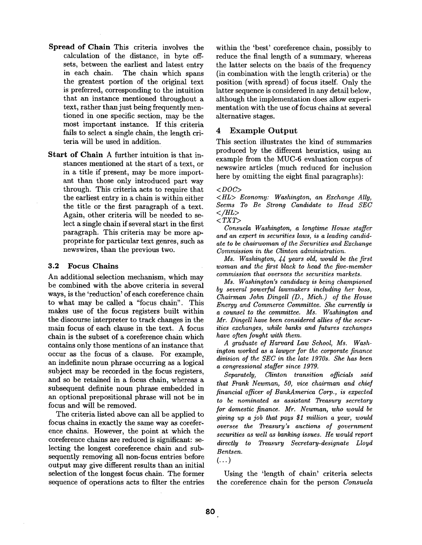- **Spread of Chain** This criteria involves the calculation of the distance, in byte offsets, between the earliest and latest entry in each chain. The chain which spans the greatest portion of the original text is preferred, corresponding to the intuition that an instance mentioned throughout a text, rather than just being frequently mentioned in one specific section, may be the most important instance. If this criteria fails to select a single chain, the length criteria will be used in addition.
- Start of Chain A further intuition is that instances mentioned at the start of a text, or in a title if present, may be more important than those only introduced part way through. This criteria acts to require that the earliest entry in a chain is within either the title or the first paragraph of a text. Again, other criteria will be needed to select a single chain if several start in the first paragraph. This criteria may be more appropriate for particular text genres, such as newswires, than the previous two.

### 3.2 Focus **Chains**

An additional selection mechanism, which may be combined with the above criteria in several ways, is the 'reduction' of each coreference chain to what may be called a "focus chain". This makes use of the focus registers built within the discourse interpreter to track changes in the main focus of each clause in the text. A focus chain is the subset of a coreference chain which contains only those mentions of an instance that occur as the focus of a clause. For example, an indefinite noun phrase occurring as a logical subject may be recorded in the focus registers, and so be retained in a focus chain, whereas a subsequent definite noun phrase embedded in an optional prepositional phrase will not be in focus and will be removed.

The criteria listed above can all be applied to focus chains in exactly the same way as coreference chains. However, the point at which the coreference chains are reduced is significant: selecting the longest coreference chain and subsequently removing all non-focus entries before output may give different results than an initial selection of the longest focus chain. The former sequence of operations acts to filter the entries within the 'best' coreference chain, possibly to reduce the final length of a summary, whereas the latter selects on the basis of the frequency (in combination with the length criteria) or the position (with spread) of focus itself. Only the latter sequence is considered in any detail below, although the implementation does allow experimentation with the use of focus chains at several alternative stages.

# 4 Example Output

This section illustrates the kind of summaries produced by the different heuristics, using an example from the MUC-6 evaluation corpus of newswire articles (much reduced for inclusion here by omitting the eight final paragraphs):

*<DOC>* 

*<HL> Economy: Washington, an Exchange Ally, Seems To Be Strong Candidate to Head SEC </HL>* 

*< TXT>* 

*Consuela Washington, a longtime House staffer and an expert in securities laws, is a leading candidate to be chairwoman of the Securities and Exchange Commission in the Clinton administration.* 

*Ms. Washington, 44 years old, would be the first woman and the first black to head the five-member commission that oversees the securities markets.* 

*Ms. Washington's candidacy is being championed by several powerful lawmakers including her boss, Chairman John Dingell (D., Mich.) of the House Energy and Commerce Committee. She currently is a counsel to the committee. Ms. Washington and Mr. Dingell have been considered allies of the securities exchanges, while banks and futures exchanges have often fought with them.* 

*A graduate of Harvard Law School, Ms. Washington worked as a lawyer for the corporate finance division of the SEC in the late 1970s. She has been a congressional staffer since 1979.* 

 $Separately,$  Clinton transition officials said *that Frank Newman, 50, vice chairman and chief financial officer of BankAmerica Corp., is expected to be nominated as assistant Treasury secretary for domestic finance. Mr. Newman, who would be giving up a job that pays \$1 million a year, would oversee the Treasury's auctions of government securities as well as banking issues. He would report directly to Treasury Secretary-designate Lloyd Bentsen.* 

*(...)* 

Using the 'length of chain' criteria selects the coreference chain for the person *Consuela*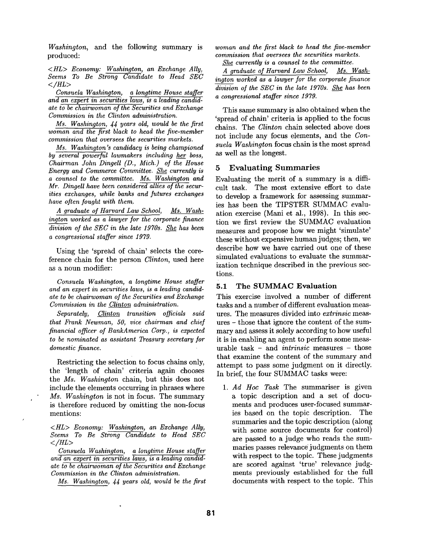*Washington,* and the following summary is produced:

*<HL> Economy: Washington, an Exchange Ally, Seems To Be Strong Candidate to Head SEC </HL>* 

*Consuela Washington, a longtime House staffer and an expert in securities laws, is a leading candidate to be chairwoman of the Securities and Exchange Commission in the Clinton administration.* 

*Ms. Washington, 44 years old, would be the first woman and the first black to head the five-member commission that oversees the securities markets.* 

*Ms. Washington's candidacy is being championed by several powerful lawmakers including her boss, Chairman John Dingell (D., Mich.) of the House Energy and Commerce Committee. She currently is a counsel to the committee. Ms. Washington and Mr. Dingell have been considered allies of the securities exchanges, while banks and futures exchanges have often fought with them,* 

*A graduate of Harvard Law School, Ms. Washington worked as a lawyer for the corporate finance*  division of the SEC in the late 1970s. She has been *a congressional staffer since 1979.* 

Using the 'spread of chain' selects the coreference chain for the person *Clinton,* used here as a noun modifier:

*Consuela Washington, a longtime House staffer and an expert in securities laws, is a leading candidate to be chairwoman of the Securities and Exchange Commission in the Clinton administration.* 

*Separately, Clinton transition officials said that Frank Newman, 50, vice chairman and chief financial officer of BankAmeriea Corp., is expected to be nominated as assistant Treasury secretary for domestic finance.* 

Restricting the selection to focus chains only, the 'length of chain' criteria again chooses the *Ms. Washington* chain, but this does not include the elements occurring in phrases where *Ms. Washington* is not in focus. The summary is therefore reduced by omitting the non-focus mentions:

*<HL> Economy: Washington, an Exchange Ally, Seems To Be Strong Candidate to Head SEC </HL>* 

*Consuela Washington, a longtime House staffer and an expert in securities laws, is a leading candidate to be chairwoman of the Securities and Exchange Commission in the Clinton administration.* 

 $\ddot{\phantom{0}}$ 

*Ms. Washington, 44 years old, would be the first* 

*woman and the first black to head the five-member commission that oversees the securities markets.* 

*She currently is a counsel to the committee.* 

A graduate of Harvard Law School, Ms. Wash*ington worked as a lawyer for the corporate finance division o/ the SEC in the late 1970s. She has been a congressional staffer since 1979.* 

This same summary is also obtained when the 'spread of chain' criteria is applied to the focus chains. The *Clinton* chain selected above does not include any focus elements, and the *Consuela Washington* focus chain is the most spread as well as the longest.

### 5 Evaluating Summaries

Evaluating the merit of a summary is a difficult task. The most extensive effort to date to develop a framework for assessing summaries has been the TIPSTER SUMMAC evaluation exercise (Mani et al., 1998). In this section we first review the SUMMAC evaluation measures and propose how we might 'simulate' these without expensive human judges; then, we describe how we have carried out one of these simulated evaluations to evaluate the summarization technique described in the previous sections.

### 5.1 The SUMMAC **Evaluation**

This exercise involved a number of different tasks and a number of different evaluation measures. The measures divided into *extrinsic* measures - those that ignore the content of the summary and assess it solely according to how useful it is in enabling an agent to perform some measurable task - and *intrinsic* measures - those that examine the content of the summary and attempt to pass some judgment on it directly. In brief, the four SUMMAC tasks were:

*1. Ad Hoc Task* The summariser is given a topic description and a set of documents and produces user-focused summaries based on the topic description. The summaries and the topic description (along with some source documents for control) are passed to a judge who reads the summaries passes relevance judgments on them with respect to the topic. These judgments are scored against 'true' relevance judgments previously established for the full documents with respect to the topic. This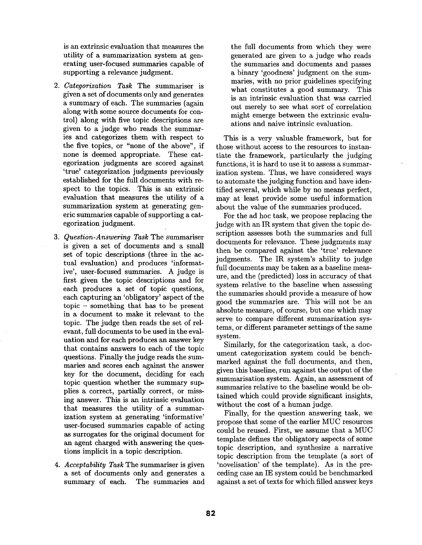is an extrinsic evaluation that measures the utility of a summarization system at generating user-focused summaries capable of supporting a relevance judgment.

- *2. Categorization Task* The summariser is given a set of documents only and generates a summary of each. The summaries (again along with some source documents for control) along with five topic descriptions axe given to a judge who reads the summaries and categorizes them with respect to the five topics, or "none of the above", if none is deemed appropriate. These categorization judgments are scored against 'true' categorization judgments previously established for the full documents with respect to the topics. This is an extrinsic evaluation that measures the utility of a summarization system at generating generic summaries capable of supporting a categorization judgment.
- *3. Question-Answering Task* The summariser is given a set of documents and a small set of topic descriptions (three in the actual evaluation) and produces 'informative', user-focused summaries. A judge is first given the topic descriptions and for each produces a set of topic questions, each capturing an 'obligatory' aspect of the topic - something that has to be present in a document to make it relevant to the topic. The judge then reads the set of relevant, full documents to be used in the evaluation and for each produces an answer key that contains answers to each of the topic questions. Finally the judge reads the summaries and scores each against the answer key for the document, deciding for each topic question whether the summary supplies a correct, partially correct, or missing answer. This is an intrinsic evaluation that measures the utility of a summarization system at generating 'informative' user-focused summaries capable of acting as surrogates for the original document for an agent charged with answering the questions implicit in a topic description.
- *4. Acceptability Task* The summariser is given a set of documents only and generates a summary of each. The summaries and

the full documents from which they were generated axe given to a judge who reads the summaries and documents and passes a binary 'goodness' judgment on the summaries, with no prior guidelines specifying what constitutes a good summary. This is an intrinsic evaluation that was carried out merely to see what sort of correlation might emerge between the extrinsic evaluations and naive intrinsic evaluation.

This is a very valuable framework, but for those without access to the resources to instantiate the framework, particularly the judging functions, it is hard to use it to assess a summarization system. Thus, we have considered ways to automate the judging function and have identified several, which while by no means perfect, may at least provide some useful information about the value of the summaries produced.

For the ad hoc task, we propose replacing the judge with an IR system that given the topic description assesses both the summaries and full documents for relevance. These judgments may then be compared against the 'true' relevance judgments. The IR system's ability to judge full documents may be taken as a baseline measure, and the (predicted) loss in accuracy of that system relative to the baseline when assessing the summaries should provide a measure of how good the summaries are. This will not be an absolute measure, of course, but one which may serve to compare different summarization systems, or different parameter settings of the same system.

Similarly, for the categorization task, a document categorization system could be benchmarked against the full documents, and then, given this baseline, run against the output of the summarisation system. Again, an assessment of summaries relative to the baseline would be obtained which could provide significant insights, without the cost of a human judge.

Finally, for the question answering task, we propose that some of the earlier MUC resources could be reused. First, we assume that a MUC template defines the obligatory aspects of some topic description, and synthesize a narrative topic description from the template (a sort of 'novelisation' of the template). As in the preceding case an IE system could be benchmarked against a set of texts for which filled answer keys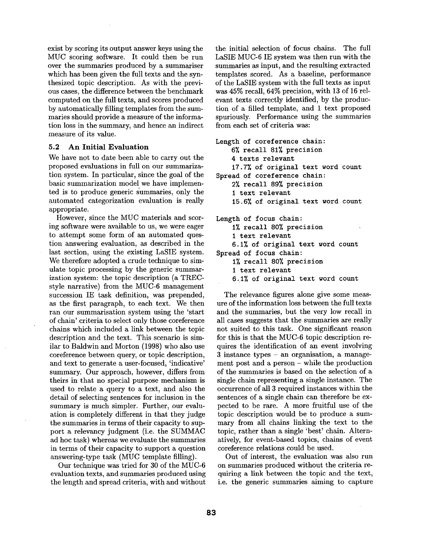exist by scoring its output answer keys using the MUC scoring software. It could then be run over the summaries produced by a summariser which has been given the full texts and the synthesized topic description. As with the previous cases, the difference between the benchmark computed on the full texts, and scores produced by automatically filling templates from the summaries should provide a measure of the information loss in the summary, and hence an indirect measure of its value.

## **5.2 An Initial Evaluation**

We have not to date been able to carry out the proposed evaluations in full on our summarization system. In particular, since the goal of the basic summarization model we have implemented is to produce generic summaries, only the automated categorization evaluation is really appropriate.

However, since the MUC materials and scoring software were available to us, we were eager to attempt some form of an automated question answering evaluation, as described in the last section, using the existing LaSIE system. We therefore adopted a crude technique to simulate topic processing by the generic summarization system: the topic description (a TRECstyle narrative) from the MUC-6 management succession IE task definition, was prepended, as the first paragraph, to each text. We then ran our summarisation system using the 'start of chain' criteria to select only those coreference chains which included a link between the topic description and the text. This scenario is similar to Baldwin and Morton (1998) who also use coreference between query, or topic description, and text to generate a user-focused, 'indicative' summary. Our approach, however, differs from theirs in that no special purpose mechanism is used to relate a query to a text, and also the detail of selecting sentences for inclusion in the summary is much simpler. Further, our evaluation is completely different in that they judge the summaries in terms of their capacity to support a relevancy judgment (i.e. the SUMMAC ad hoc task) whereas we evaluate the summaries in terms of their capacity to support a question answering-type task (MUC template filling).

Our technique was tried for 30 of the MUC-6 evaluation texts, and summaries produced using the length and spread criteria, with and without the initial selection of focus chains. The full LaSIE MUC-6 IE system was then run with the summaries as input, and the resulting extracted templates scored. As a baseline, performance of the LaSIE system with the full texts as input was 45% recall, 64% precision, with 13 of 16 relevant texts correctly identified, by the production of a filled template, and 1 text proposed spuriously. Performance using the summaries from each set of criteria was:

```
Length of coreference chain: 
    6% recall 81% precision
    4 texts relevant 
    17.7% of original text word count
Spread of coreference chain: 
    2% recall 89% precision
    I text relevant 
    15.6~ of original text word count 
Length of focus chain: 
    1% recall 80% precision
    i text relevant 
    6.1% of original text word count
Spread of focus chain: 
    1% recall 80% precision
    i text relevant
```
6.1% of original text word count

The relevance figures alone give some measure of the information loss between the full texts and the summaries, but the very low recall in all cases suggests that the summaries are really not suited to this task. One significant reason for this is that the MUC-6 topic description requires the identification of an event involving 3 instance types - an organisation, a management post and a person - while the production of the summaries is based on the selection of a single chain representing a single instance. The occurrence of all 3 required instances within the sentences of a single chain can therefore be expected to be rare. A more fruitful use of the topic description would be to produce a summary from all chains linking the text to the topic, rather than a single 'best' chain. Alternatively, for event-based topics, chains of event coreference relations could be used.

Out of interest, the evaluation was also run on summaries produced without the criteria requiring a link between the topic and the text, i.e. the generic summaries aiming to capture